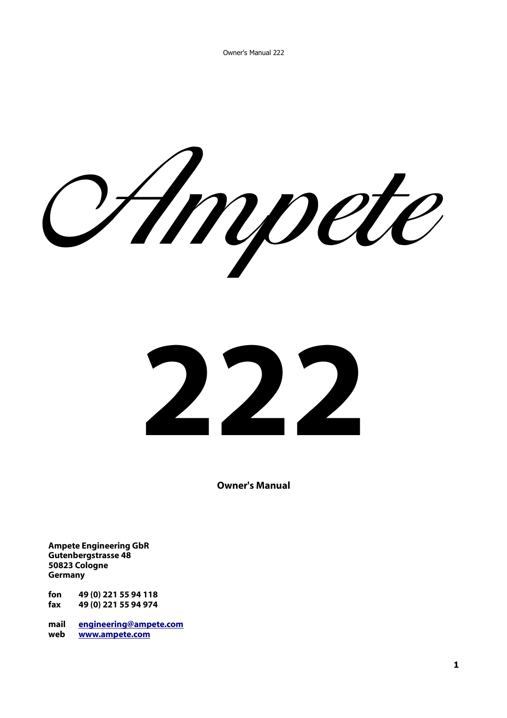Ampete



**Owner's Manual**

**Ampete Engineering GbR Gutenbergstrasse 48 50823 Cologne Germany**

**fon 49 (0) 221 55 94 118 fax 49 (0) 221 55 94 974**

**mail [engineering@ampete.com](mailto:engineering@ampete.com) web [www.ampete.com](http://www.ampete.com/)**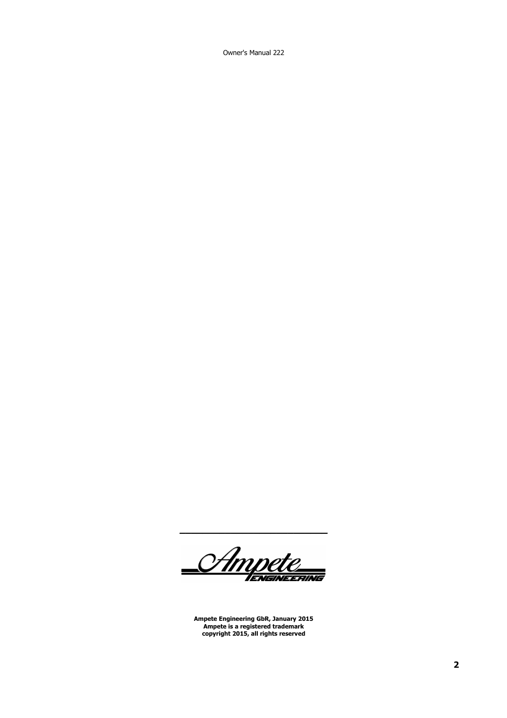Owner's Manual 222

\_<br><u>CAmpete</u>

**Ampete Engineering GbR, January 2015 Ampete is a registered trademark copyright 2015, all rights reserved**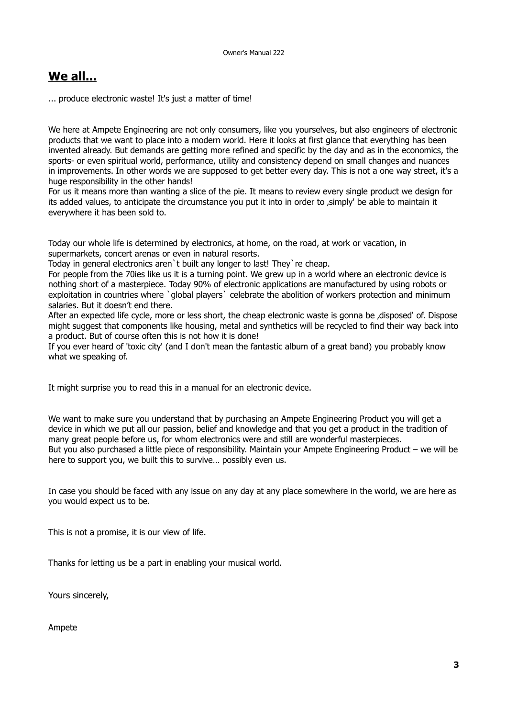### **We all...**

... produce electronic waste! It's just a matter of time!

We here at Ampete Engineering are not only consumers, like you yourselves, but also engineers of electronic products that we want to place into a modern world. Here it looks at first glance that everything has been invented already. But demands are getting more refined and specific by the day and as in the economics, the sports- or even spiritual world, performance, utility and consistency depend on small changes and nuances in improvements. In other words we are supposed to get better every day. This is not a one way street, it's a huge responsibility in the other hands!

For us it means more than wanting a slice of the pie. It means to review every single product we design for its added values, to anticipate the circumstance you put it into in order to , simply' be able to maintain it everywhere it has been sold to.

Today our whole life is determined by electronics, at home, on the road, at work or vacation, in supermarkets, concert arenas or even in natural resorts.

Today in general electronics aren`t built any longer to last! They`re cheap.

For people from the 70ies like us it is a turning point. We grew up in a world where an electronic device is nothing short of a masterpiece. Today 90% of electronic applications are manufactured by using robots or exploitation in countries where `global players` celebrate the abolition of workers protection and minimum salaries. But it doesn't end there.

After an expected life cycle, more or less short, the cheap electronic waste is gonna be 'disposed' of. Dispose might suggest that components like housing, metal and synthetics will be recycled to find their way back into a product. But of course often this is not how it is done!

If you ever heard of 'toxic city' (and I don't mean the fantastic album of a great band) you probably know what we speaking of.

It might surprise you to read this in a manual for an electronic device.

We want to make sure you understand that by purchasing an Ampete Engineering Product you will get a device in which we put all our passion, belief and knowledge and that you get a product in the tradition of many great people before us, for whom electronics were and still are wonderful masterpieces. But you also purchased a little piece of responsibility. Maintain your Ampete Engineering Product – we will be here to support you, we built this to survive… possibly even us.

In case you should be faced with any issue on any day at any place somewhere in the world, we are here as you would expect us to be.

This is not a promise, it is our view of life.

Thanks for letting us be a part in enabling your musical world.

Yours sincerely,

Ampete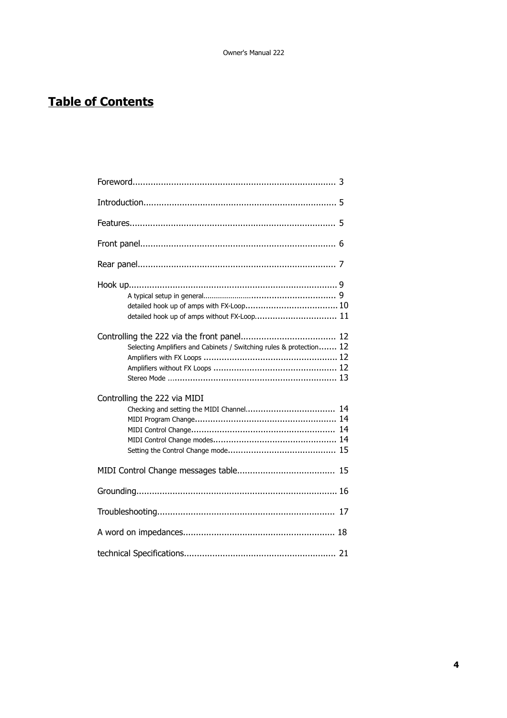# **Table of Contents**

| detailed hook up of amps without FX-Loop 11                         |  |  |  |
|---------------------------------------------------------------------|--|--|--|
| Selecting Amplifiers and Cabinets / Switching rules & protection 12 |  |  |  |
| Controlling the 222 via MIDI                                        |  |  |  |
|                                                                     |  |  |  |
|                                                                     |  |  |  |
|                                                                     |  |  |  |
|                                                                     |  |  |  |
|                                                                     |  |  |  |
|                                                                     |  |  |  |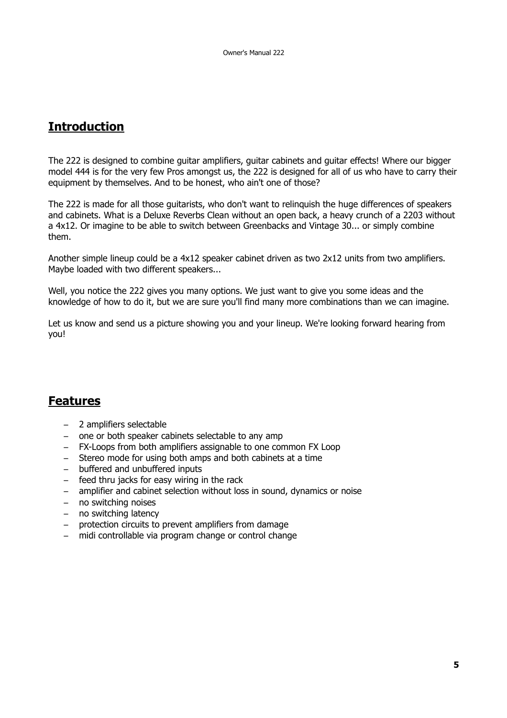## **Introduction**

The 222 is designed to combine guitar amplifiers, guitar cabinets and guitar effects! Where our bigger model 444 is for the very few Pros amongst us, the 222 is designed for all of us who have to carry their equipment by themselves. And to be honest, who ain't one of those?

The 222 is made for all those guitarists, who don't want to relinquish the huge differences of speakers and cabinets. What is a Deluxe Reverbs Clean without an open back, a heavy crunch of a 2203 without a 4x12. Or imagine to be able to switch between Greenbacks and Vintage 30... or simply combine them.

Another simple lineup could be a 4x12 speaker cabinet driven as two 2x12 units from two amplifiers. Maybe loaded with two different speakers...

Well, you notice the 222 gives you many options. We just want to give you some ideas and the knowledge of how to do it, but we are sure you'll find many more combinations than we can imagine.

Let us know and send us a picture showing you and your lineup. We're looking forward hearing from you!

### **Features**

- 2 amplifiers selectable
- one or both speaker cabinets selectable to any amp
- FX-Loops from both amplifiers assignable to one common FX Loop
- Stereo mode for using both amps and both cabinets at a time
- buffered and unbuffered inputs
- feed thru jacks for easy wiring in the rack
- amplifier and cabinet selection without loss in sound, dynamics or noise
- no switching noises
- no switching latency
- protection circuits to prevent amplifiers from damage
- midi controllable via program change or control change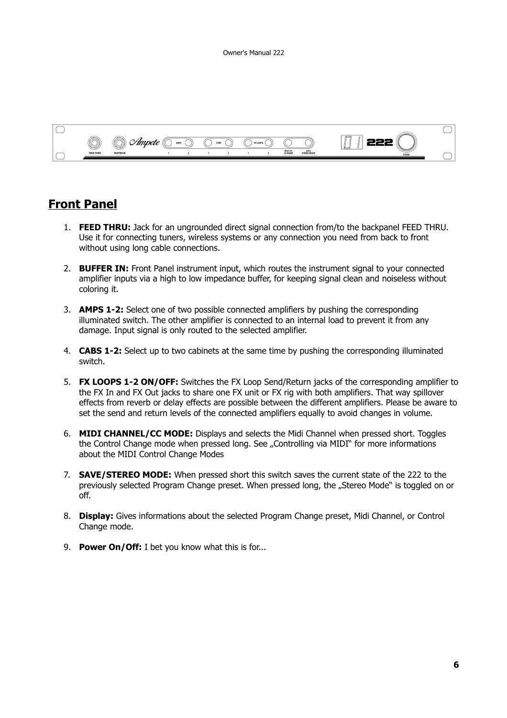

### **Front Panel**

- 1. **FEED THRU:** Jack for an ungrounded direct signal connection from/to the backpanel FEED THRU. Use it for connecting tuners, wireless systems or any connection you need from back to front without using long cable connections.
- 2. **BUFFER IN:** Front Panel instrument input, which routes the instrument signal to your connected amplifier inputs via a high to low impedance buffer, for keeping signal clean and noiseless without coloring it.
- 3. **AMPS 1-2:** Select one of two possible connected amplifiers by pushing the corresponding illuminated switch. The other amplifier is connected to an internal load to prevent it from any damage. Input signal is only routed to the selected amplifier.
- 4. **CABS 1-2:** Select up to two cabinets at the same time by pushing the corresponding illuminated switch.
- 5. **FX LOOPS 1-2 ON/OFF:** Switches the FX Loop Send/Return jacks of the corresponding amplifier to the FX In and FX Out jacks to share one FX unit or FX rig with both amplifiers. That way spillover effects from reverb or delay effects are possible between the different amplifiers. Please be aware to set the send and return levels of the connected amplifiers equally to avoid changes in volume.
- 6. **MIDI CHANNEL/CC MODE:** Displays and selects the Midi Channel when pressed short. Toggles the Control Change mode when pressed long. See "Controlling via MIDI" for more informations about the MIDI Control Change Modes
- 7. **SAVE/STEREO MODE:** When pressed short this switch saves the current state of the 222 to the previously selected Program Change preset. When pressed long, the "Stereo Mode" is toggled on or off.
- 8. **Display:** Gives informations about the selected Program Change preset, Midi Channel, or Control Change mode.
- 9. **Power On/Off:** I bet you know what this is for...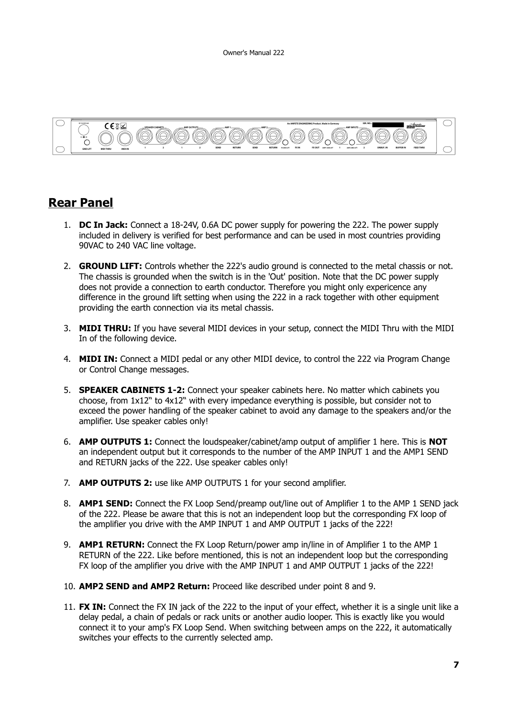

### **Rear Panel**

- 1. **DC In Jack:** Connect a 18-24V, 0.6A DC power supply for powering the 222. The power supply included in delivery is verified for best performance and can be used in most countries providing 90VAC to 240 VAC line voltage.
- 2. **GROUND LIFT:** Controls whether the 222's audio ground is connected to the metal chassis or not. The chassis is grounded when the switch is in the 'Out' position. Note that the DC power supply does not provide a connection to earth conductor. Therefore you might only expericence any difference in the ground lift setting when using the 222 in a rack together with other equipment providing the earth connection via its metal chassis.
- 3. **MIDI THRU:** If you have several MIDI devices in your setup, connect the MIDI Thru with the MIDI In of the following device.
- 4. **MIDI IN:** Connect a MIDI pedal or any other MIDI device, to control the 222 via Program Change or Control Change messages.
- 5. **SPEAKER CABINETS 1-2:** Connect your speaker cabinets here. No matter which cabinets you choose, from 1x12" to 4x12" with every impedance everything is possible, but consider not to exceed the power handling of the speaker cabinet to avoid any damage to the speakers and/or the amplifier. Use speaker cables only!
- 6. **AMP OUTPUTS 1:** Connect the loudspeaker/cabinet/amp output of amplifier 1 here. This is **NOT** an independent output but it corresponds to the number of the AMP INPUT 1 and the AMP1 SEND and RETURN jacks of the 222. Use speaker cables only!
- 7. **AMP OUTPUTS 2:** use like AMP OUTPUTS 1 for your second amplifier.
- 8. **AMP1 SEND:** Connect the FX Loop Send/preamp out/line out of Amplifier 1 to the AMP 1 SEND jack of the 222. Please be aware that this is not an independent loop but the corresponding FX loop of the amplifier you drive with the AMP INPUT 1 and AMP OUTPUT 1 jacks of the 222!
- 9. **AMP1 RETURN:** Connect the FX Loop Return/power amp in/line in of Amplifier 1 to the AMP 1 RETURN of the 222. Like before mentioned, this is not an independent loop but the corresponding FX loop of the amplifier you drive with the AMP INPUT 1 and AMP OUTPUT 1 jacks of the 222!
- 10. **AMP2 SEND and AMP2 Return:** Proceed like described under point 8 and 9.
- 11. **FX IN:** Connect the FX IN jack of the 222 to the input of your effect, whether it is a single unit like a delay pedal, a chain of pedals or rack units or another audio looper. This is exactly like you would connect it to your amp's FX Loop Send. When switching between amps on the 222, it automatically switches your effects to the currently selected amp.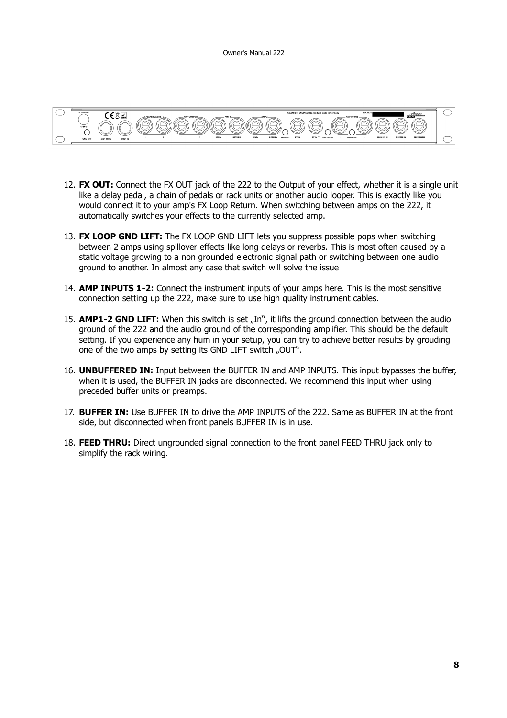

- 12. **FX OUT:** Connect the FX OUT jack of the 222 to the Output of your effect, whether it is a single unit like a delay pedal, a chain of pedals or rack units or another audio looper. This is exactly like you would connect it to your amp's FX Loop Return. When switching between amps on the 222, it automatically switches your effects to the currently selected amp.
- 13. **FX LOOP GND LIFT:** The FX LOOP GND LIFT lets you suppress possible pops when switching between 2 amps using spillover effects like long delays or reverbs. This is most often caused by a static voltage growing to a non grounded electronic signal path or switching between one audio ground to another. In almost any case that switch will solve the issue
- 14. **AMP INPUTS 1-2:** Connect the instrument inputs of your amps here. This is the most sensitive connection setting up the 222, make sure to use high quality instrument cables.
- 15. **AMP1-2 GND LIFT:** When this switch is set "In", it lifts the ground connection between the audio ground of the 222 and the audio ground of the corresponding amplifier. This should be the default setting. If you experience any hum in your setup, you can try to achieve better results by grouding one of the two amps by setting its GND LIFT switch "OUT".
- 16. **UNBUFFERED IN:** Input between the BUFFER IN and AMP INPUTS. This input bypasses the buffer, when it is used, the BUFFER IN jacks are disconnected. We recommend this input when using preceded buffer units or preamps.
- 17. **BUFFER IN:** Use BUFFER IN to drive the AMP INPUTS of the 222. Same as BUFFER IN at the front side, but disconnected when front panels BUFFER IN is in use.
- 18. **FEED THRU:** Direct ungrounded signal connection to the front panel FEED THRU jack only to simplify the rack wiring.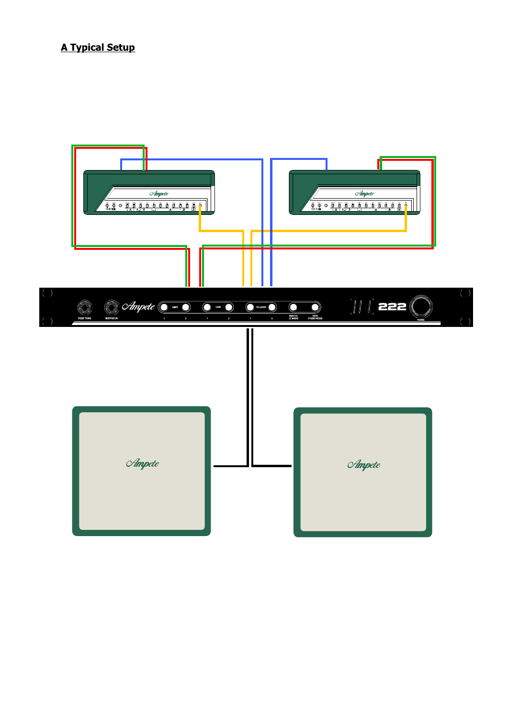### **A Typical Setup**

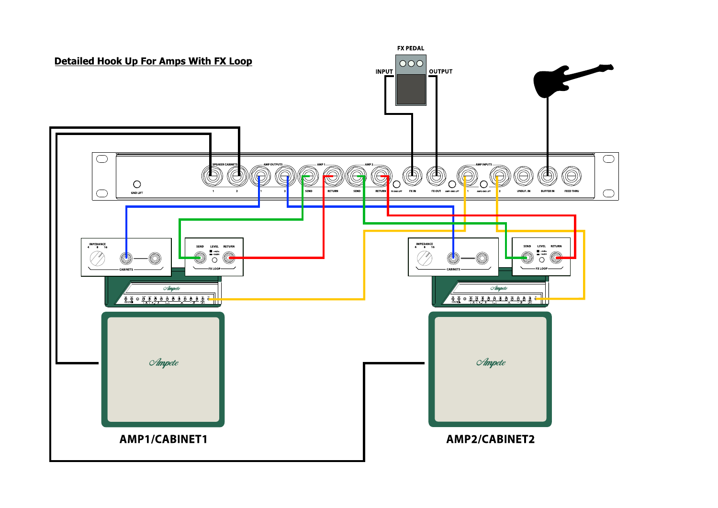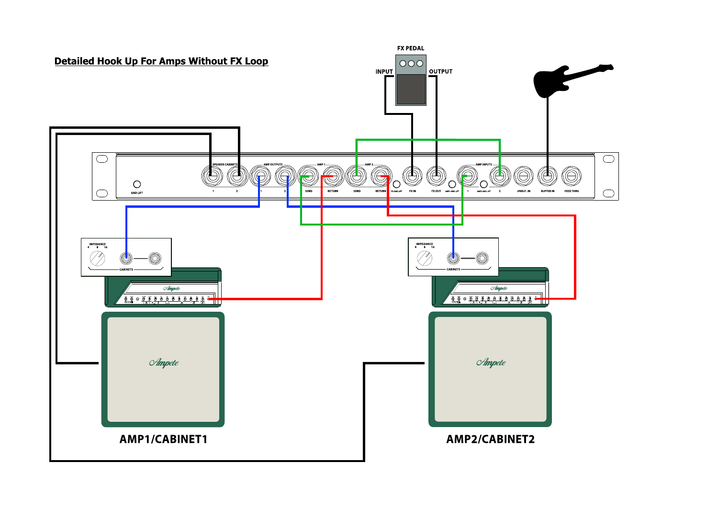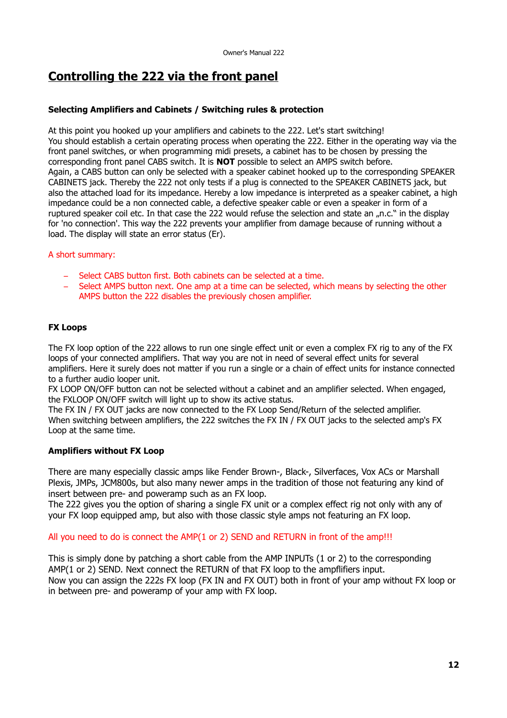## **Controlling the 222 via the front panel**

#### **Selecting Amplifiers and Cabinets / Switching rules & protection**

At this point you hooked up your amplifiers and cabinets to the 222. Let's start switching! You should establish a certain operating process when operating the 222. Either in the operating way via the front panel switches, or when programming midi presets, a cabinet has to be chosen by pressing the corresponding front panel CABS switch. It is **NOT** possible to select an AMPS switch before. Again, a CABS button can only be selected with a speaker cabinet hooked up to the corresponding SPEAKER CABINETS jack. Thereby the 222 not only tests if a plug is connected to the SPEAKER CABINETS jack, but also the attached load for its impedance. Hereby a low impedance is interpreted as a speaker cabinet, a high impedance could be a non connected cable, a defective speaker cable or even a speaker in form of a ruptured speaker coil etc. In that case the 222 would refuse the selection and state an "n.c." in the display for 'no connection'. This way the 222 prevents your amplifier from damage because of running without a load. The display will state an error status (Er).

#### A short summary:

- Select CABS button first. Both cabinets can be selected at a time.
- Select AMPS button next. One amp at a time can be selected, which means by selecting the other AMPS button the 222 disables the previously chosen amplifier.

#### **FX Loops**

The FX loop option of the 222 allows to run one single effect unit or even a complex FX rig to any of the FX loops of your connected amplifiers. That way you are not in need of several effect units for several amplifiers. Here it surely does not matter if you run a single or a chain of effect units for instance connected to a further audio looper unit.

FX LOOP ON/OFF button can not be selected without a cabinet and an amplifier selected. When engaged, the FXLOOP ON/OFF switch will light up to show its active status.

The FX IN / FX OUT jacks are now connected to the FX Loop Send/Return of the selected amplifier. When switching between amplifiers, the 222 switches the FX IN / FX OUT jacks to the selected amp's FX Loop at the same time.

#### **Amplifiers without FX Loop**

There are many especially classic amps like Fender Brown-, Black-, Silverfaces, Vox ACs or Marshall Plexis, JMPs, JCM800s, but also many newer amps in the tradition of those not featuring any kind of insert between pre- and poweramp such as an FX loop.

The 222 gives you the option of sharing a single FX unit or a complex effect rig not only with any of your FX loop equipped amp, but also with those classic style amps not featuring an FX loop.

#### All you need to do is connect the AMP(1 or 2) SEND and RETURN in front of the amp!!!

This is simply done by patching a short cable from the AMP INPUTs (1 or 2) to the corresponding AMP(1 or 2) SEND. Next connect the RETURN of that FX loop to the ampflifiers input. Now you can assign the 222s FX loop (FX IN and FX OUT) both in front of your amp without FX loop or in between pre- and poweramp of your amp with FX loop.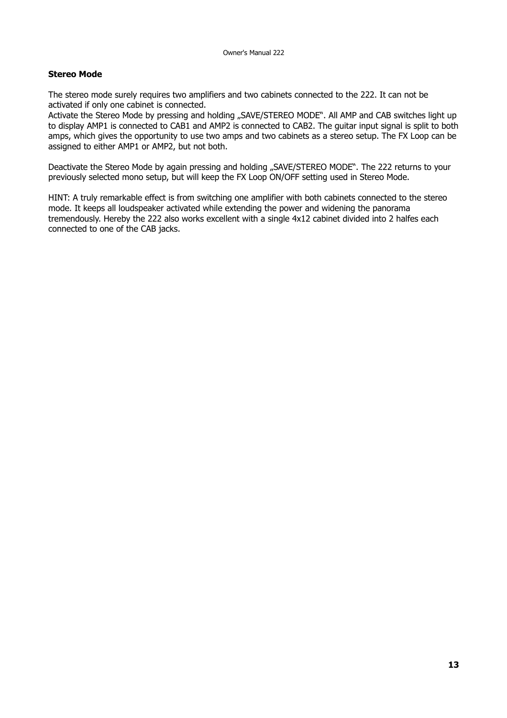#### **Stereo Mode**

The stereo mode surely requires two amplifiers and two cabinets connected to the 222. It can not be activated if only one cabinet is connected.

Activate the Stereo Mode by pressing and holding "SAVE/STEREO MODE". All AMP and CAB switches light up to display AMP1 is connected to CAB1 and AMP2 is connected to CAB2. The guitar input signal is split to both amps, which gives the opportunity to use two amps and two cabinets as a stereo setup. The FX Loop can be assigned to either AMP1 or AMP2, but not both.

Deactivate the Stereo Mode by again pressing and holding "SAVE/STEREO MODE". The 222 returns to your previously selected mono setup, but will keep the FX Loop ON/OFF setting used in Stereo Mode.

HINT: A truly remarkable effect is from switching one amplifier with both cabinets connected to the stereo mode. It keeps all loudspeaker activated while extending the power and widening the panorama tremendously. Hereby the 222 also works excellent with a single 4x12 cabinet divided into 2 halfes each connected to one of the CAB jacks.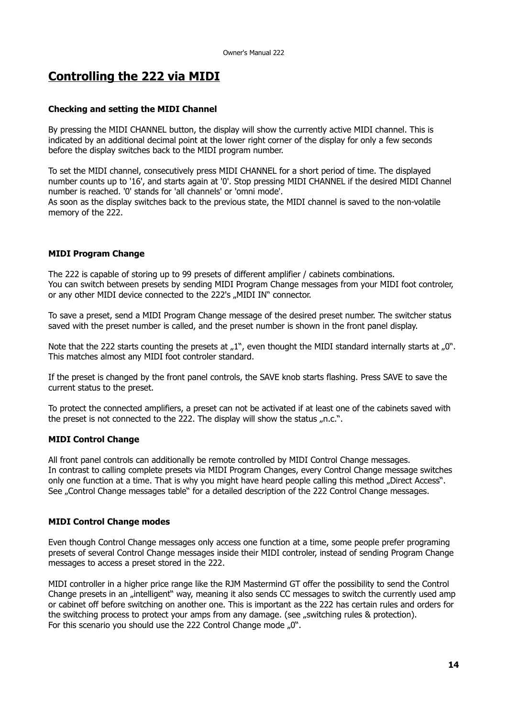## **Controlling the 222 via MIDI**

#### **Checking and setting the MIDI Channel**

By pressing the MIDI CHANNEL button, the display will show the currently active MIDI channel. This is indicated by an additional decimal point at the lower right corner of the display for only a few seconds before the display switches back to the MIDI program number.

To set the MIDI channel, consecutively press MIDI CHANNEL for a short period of time. The displayed number counts up to '16', and starts again at '0'. Stop pressing MIDI CHANNEL if the desired MIDI Channel number is reached. '0' stands for 'all channels' or 'omni mode'.

As soon as the display switches back to the previous state, the MIDI channel is saved to the non-volatile memory of the 222.

#### **MIDI Program Change**

The 222 is capable of storing up to 99 presets of different amplifier / cabinets combinations. You can switch between presets by sending MIDI Program Change messages from your MIDI foot controler, or any other MIDI device connected to the 222's "MIDI IN" connector.

To save a preset, send a MIDI Program Change message of the desired preset number. The switcher status saved with the preset number is called, and the preset number is shown in the front panel display.

Note that the 222 starts counting the presets at  $n^{1}$ , even thought the MIDI standard internally starts at  $n^{0}$ . This matches almost any MIDI foot controler standard.

If the preset is changed by the front panel controls, the SAVE knob starts flashing. Press SAVE to save the current status to the preset.

To protect the connected amplifiers, a preset can not be activated if at least one of the cabinets saved with the preset is not connected to the 222. The display will show the status  $n.$ ....

#### **MIDI Control Change**

All front panel controls can additionally be remote controlled by MIDI Control Change messages. In contrast to calling complete presets via MIDI Program Changes, every Control Change message switches only one function at a time. That is why you might have heard people calling this method "Direct Access". See "Control Change messages table" for a detailed description of the 222 Control Change messages.

#### **MIDI Control Change modes**

Even though Control Change messages only access one function at a time, some people prefer programing presets of several Control Change messages inside their MIDI controler, instead of sending Program Change messages to access a preset stored in the 222.

MIDI controller in a higher price range like the RJM Mastermind GT offer the possibility to send the Control Change presets in an "intelligent" way, meaning it also sends CC messages to switch the currently used amp or cabinet off before switching on another one. This is important as the 222 has certain rules and orders for the switching process to protect your amps from any damage. (see ., switching rules & protection). For this scenario you should use the 222 Control Change mode "0".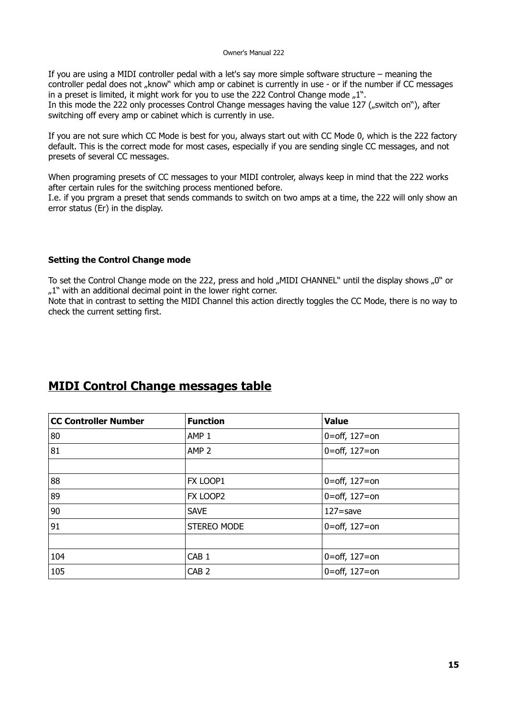If you are using a MIDI controller pedal with a let's say more simple software structure – meaning the controller pedal does not "know" which amp or cabinet is currently in use - or if the number if CC messages in a preset is limited, it might work for you to use the 222 Control Change mode  $n^1$ . In this mode the 222 only processes Control Change messages having the value 127 ("switch on"), after switching off every amp or cabinet which is currently in use.

If you are not sure which CC Mode is best for you, always start out with CC Mode 0, which is the 222 factory default. This is the correct mode for most cases, especially if you are sending single CC messages, and not presets of several CC messages.

When programing presets of CC messages to your MIDI controler, always keep in mind that the 222 works after certain rules for the switching process mentioned before.

I.e. if you prgram a preset that sends commands to switch on two amps at a time, the 222 will only show an error status (Er) in the display.

#### **Setting the Control Change mode**

To set the Control Change mode on the 222, press and hold "MIDI CHANNEL" until the display shows "0" or  $n_{\text{u}}$ 1" with an additional decimal point in the lower right corner.

Note that in contrast to setting the MIDI Channel this action directly toggles the CC Mode, there is no way to check the current setting first.

### **MIDI Control Change messages table**

| <b>CC Controller Number</b> | <b>Function</b>    | <b>Value</b>      |
|-----------------------------|--------------------|-------------------|
| 80                          | AMP <sub>1</sub>   | 0=off, $127 =$ on |
| 81                          | AMP <sub>2</sub>   | 0=off, $127 =$ on |
|                             |                    |                   |
| 88                          | FX LOOP1           | 0=off, $127 =$ on |
| 89                          | FX LOOP2           | 0=off, $127 =$ on |
| 90                          | <b>SAVE</b>        | $127 =$ save      |
| 91                          | <b>STEREO MODE</b> | 0=off, $127 = 0n$ |
|                             |                    |                   |
| 104                         | CAB <sub>1</sub>   | 0=off, $127 = 0n$ |
| 105                         | CAB <sub>2</sub>   | 0=off, $127 =$ on |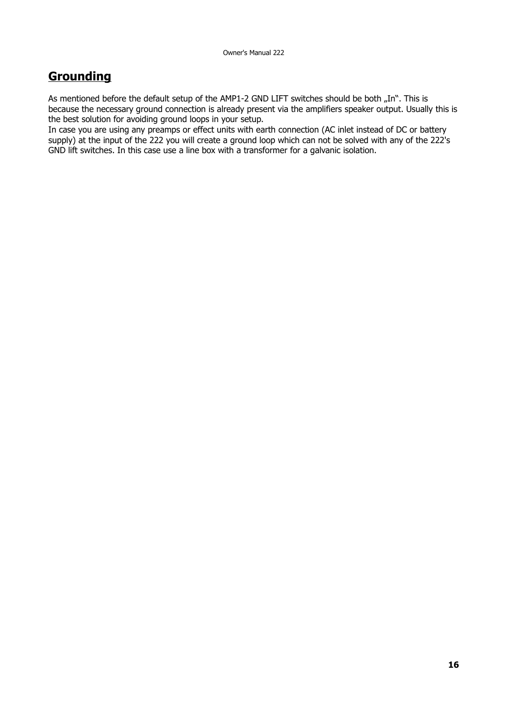## **Grounding**

As mentioned before the default setup of the AMP1-2 GND LIFT switches should be both "In". This is because the necessary ground connection is already present via the amplifiers speaker output. Usually this is the best solution for avoiding ground loops in your setup.

In case you are using any preamps or effect units with earth connection (AC inlet instead of DC or battery supply) at the input of the 222 you will create a ground loop which can not be solved with any of the 222's GND lift switches. In this case use a line box with a transformer for a galvanic isolation.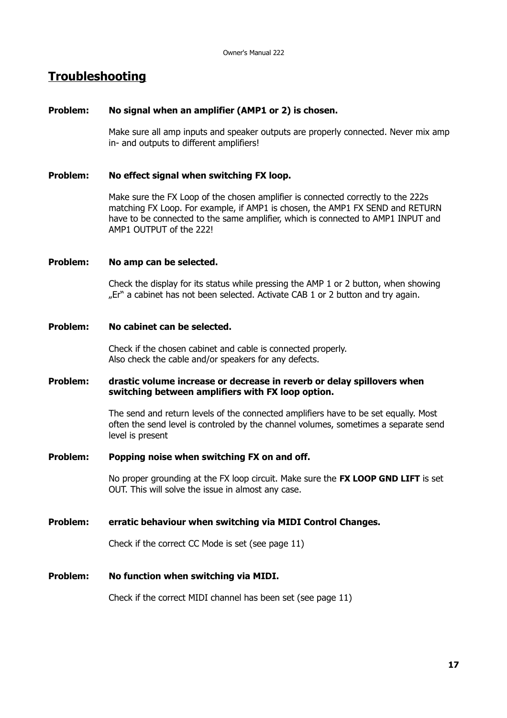### **Troubleshooting**

#### **Problem: No signal when an amplifier (AMP1 or 2) is chosen.**

Make sure all amp inputs and speaker outputs are properly connected. Never mix amp in- and outputs to different amplifiers!

#### **Problem: No effect signal when switching FX loop.**

Make sure the FX Loop of the chosen amplifier is connected correctly to the 222s matching FX Loop. For example, if AMP1 is chosen, the AMP1 FX SEND and RETURN have to be connected to the same amplifier, which is connected to AMP1 INPUT and AMP1 OUTPUT of the 222!

#### **Problem: No amp can be selected.**

Check the display for its status while pressing the AMP 1 or 2 button, when showing "Er" a cabinet has not been selected. Activate CAB 1 or 2 button and try again.

#### **Problem: No cabinet can be selected.**

Check if the chosen cabinet and cable is connected properly. Also check the cable and/or speakers for any defects.

#### **Problem: drastic volume increase or decrease in reverb or delay spillovers when switching between amplifiers with FX loop option.**

The send and return levels of the connected amplifiers have to be set equally. Most often the send level is controled by the channel volumes, sometimes a separate send level is present

#### **Problem: Popping noise when switching FX on and off.**

No proper grounding at the FX loop circuit. Make sure the **FX LOOP GND LIFT** is set OUT. This will solve the issue in almost any case.

#### **Problem: erratic behaviour when switching via MIDI Control Changes.**

Check if the correct CC Mode is set (see page 11)

#### **Problem: No function when switching via MIDI.**

Check if the correct MIDI channel has been set (see page 11)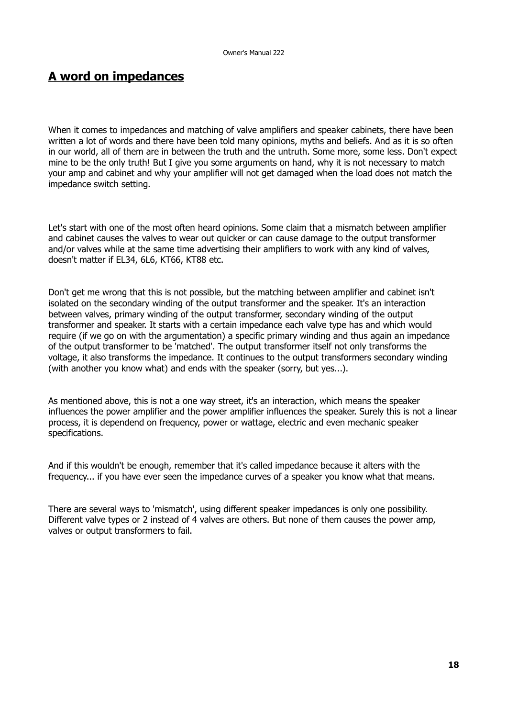### **A word on impedances**

When it comes to impedances and matching of valve amplifiers and speaker cabinets, there have been written a lot of words and there have been told many opinions, myths and beliefs. And as it is so often in our world, all of them are in between the truth and the untruth. Some more, some less. Don't expect mine to be the only truth! But I give you some arguments on hand, why it is not necessary to match your amp and cabinet and why your amplifier will not get damaged when the load does not match the impedance switch setting.

Let's start with one of the most often heard opinions. Some claim that a mismatch between amplifier and cabinet causes the valves to wear out quicker or can cause damage to the output transformer and/or valves while at the same time advertising their amplifiers to work with any kind of valves, doesn't matter if EL34, 6L6, KT66, KT88 etc.

Don't get me wrong that this is not possible, but the matching between amplifier and cabinet isn't isolated on the secondary winding of the output transformer and the speaker. It's an interaction between valves, primary winding of the output transformer, secondary winding of the output transformer and speaker. It starts with a certain impedance each valve type has and which would require (if we go on with the argumentation) a specific primary winding and thus again an impedance of the output transformer to be 'matched'. The output transformer itself not only transforms the voltage, it also transforms the impedance. It continues to the output transformers secondary winding (with another you know what) and ends with the speaker (sorry, but yes...).

As mentioned above, this is not a one way street, it's an interaction, which means the speaker influences the power amplifier and the power amplifier influences the speaker. Surely this is not a linear process, it is dependend on frequency, power or wattage, electric and even mechanic speaker specifications.

And if this wouldn't be enough, remember that it's called impedance because it alters with the frequency... if you have ever seen the impedance curves of a speaker you know what that means.

There are several ways to 'mismatch', using different speaker impedances is only one possibility. Different valve types or 2 instead of 4 valves are others. But none of them causes the power amp, valves or output transformers to fail.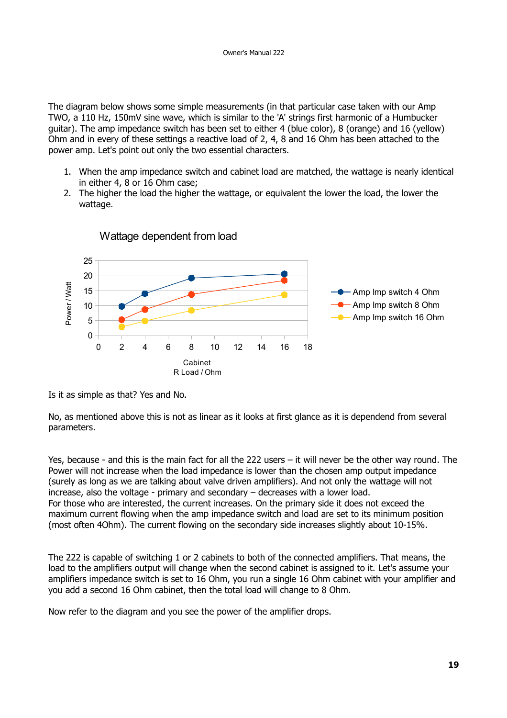The diagram below shows some simple measurements (in that particular case taken with our Amp TWO, a 110 Hz, 150mV sine wave, which is similar to the 'A' strings first harmonic of a Humbucker guitar). The amp impedance switch has been set to either 4 (blue color), 8 (orange) and 16 (yellow) Ohm and in every of these settings a reactive load of 2, 4, 8 and 16 Ohm has been attached to the power amp. Let's point out only the two essential characters.

- 1. When the amp impedance switch and cabinet load are matched, the wattage is nearly identical in either 4, 8 or 16 Ohm case;
- 2. The higher the load the higher the wattage, or equivalent the lower the load, the lower the wattage.





Is it as simple as that? Yes and No.

No, as mentioned above this is not as linear as it looks at first glance as it is dependend from several parameters.

Yes, because - and this is the main fact for all the 222 users – it will never be the other way round. The Power will not increase when the load impedance is lower than the chosen amp output impedance (surely as long as we are talking about valve driven amplifiers). And not only the wattage will not increase, also the voltage - primary and secondary – decreases with a lower load. For those who are interested, the current increases. On the primary side it does not exceed the maximum current flowing when the amp impedance switch and load are set to its minimum position (most often 4Ohm). The current flowing on the secondary side increases slightly about 10-15%.

The 222 is capable of switching 1 or 2 cabinets to both of the connected amplifiers. That means, the load to the amplifiers output will change when the second cabinet is assigned to it. Let's assume your amplifiers impedance switch is set to 16 Ohm, you run a single 16 Ohm cabinet with your amplifier and you add a second 16 Ohm cabinet, then the total load will change to 8 Ohm.

Now refer to the diagram and you see the power of the amplifier drops.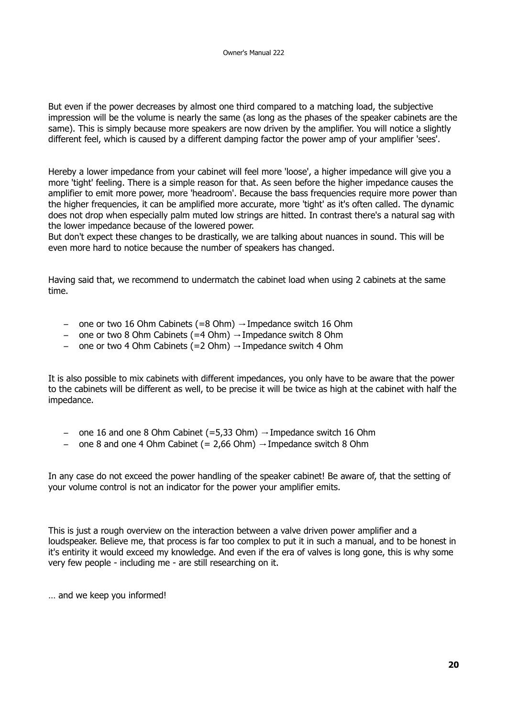But even if the power decreases by almost one third compared to a matching load, the subjective impression will be the volume is nearly the same (as long as the phases of the speaker cabinets are the same). This is simply because more speakers are now driven by the amplifier. You will notice a slightly different feel, which is caused by a different damping factor the power amp of your amplifier 'sees'.

Hereby a lower impedance from your cabinet will feel more 'loose', a higher impedance will give you a more 'tight' feeling. There is a simple reason for that. As seen before the higher impedance causes the amplifier to emit more power, more 'headroom'. Because the bass frequencies require more power than the higher frequencies, it can be amplified more accurate, more 'tight' as it's often called. The dynamic does not drop when especially palm muted low strings are hitted. In contrast there's a natural sag with the lower impedance because of the lowered power.

But don't expect these changes to be drastically, we are talking about nuances in sound. This will be even more hard to notice because the number of speakers has changed.

Having said that, we recommend to undermatch the cabinet load when using 2 cabinets at the same time.

- one or two 16 Ohm Cabinets (=8 Ohm)  $\rightarrow$  Impedance switch 16 Ohm
- one or two 8 Ohm Cabinets (=4 Ohm)  $\rightarrow$  Impedance switch 8 Ohm
- one or two 4 Ohm Cabinets (=2 Ohm)  $\rightarrow$  Impedance switch 4 Ohm

It is also possible to mix cabinets with different impedances, you only have to be aware that the power to the cabinets will be different as well, to be precise it will be twice as high at the cabinet with half the impedance.

- one 16 and one 8 Ohm Cabinet (=5,33 Ohm)  $\rightarrow$  Impedance switch 16 Ohm
- one 8 and one 4 Ohm Cabinet (= 2.66 Ohm)  $\rightarrow$  Impedance switch 8 Ohm

In any case do not exceed the power handling of the speaker cabinet! Be aware of, that the setting of your volume control is not an indicator for the power your amplifier emits.

This is just a rough overview on the interaction between a valve driven power amplifier and a loudspeaker. Believe me, that process is far too complex to put it in such a manual, and to be honest in it's entirity it would exceed my knowledge. And even if the era of valves is long gone, this is why some very few people - including me - are still researching on it.

… and we keep you informed!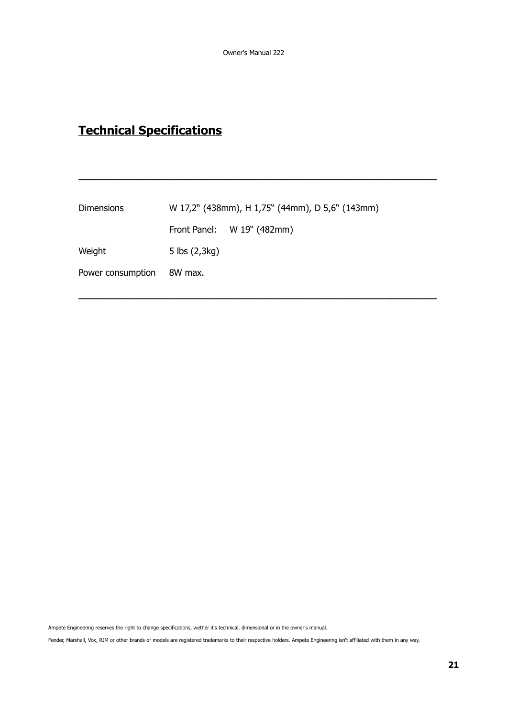**\_\_\_\_\_\_\_\_\_\_\_\_\_\_\_\_\_\_\_\_\_\_\_\_\_\_\_\_\_\_\_\_\_\_\_\_\_\_\_\_\_\_\_\_\_\_\_\_\_\_\_\_\_\_\_\_\_\_\_\_\_\_\_**

**\_\_\_\_\_\_\_\_\_\_\_\_\_\_\_\_\_\_\_\_\_\_\_\_\_\_\_\_\_\_\_\_\_\_\_\_\_\_\_\_\_\_\_\_\_\_\_\_\_\_\_\_\_\_\_\_\_\_\_\_\_\_\_**

# **Technical Specifications**

| W 17,2" (438mm), H 1,75" (44mm), D 5,6" (143mm) |                            |  |
|-------------------------------------------------|----------------------------|--|
|                                                 | Front Panel: W 19" (482mm) |  |
| 5 lbs (2,3kg)                                   |                            |  |
| 8W max.                                         |                            |  |
|                                                 |                            |  |

Ampete Engineering reserves the right to change specifications, wether it's technical, dimensional or in the owner's manual.

Fender, Marshall, Vox, RJM or other brands or models are registered trademarks to their respective holders. Ampete Engineering isn't affiliated with them in any way.